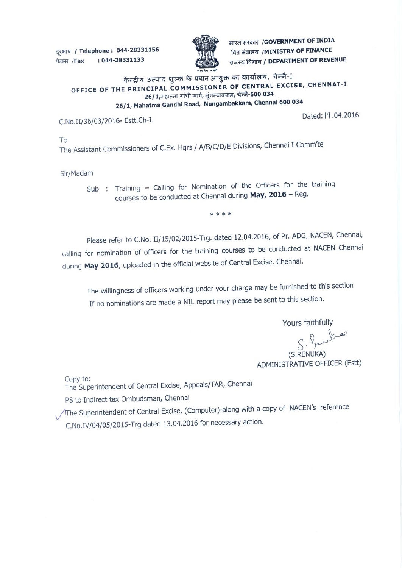दूरभाष / Telephone : 044-28331156 **T /Fax : 044-28331133** 



*ARREA HERRY A GOVERNMENT OF INDIA* **यित मंत्रालय /MINISTRY OF FINANCE ils7**► **-C1** Salm( / **DEPARTMENT OF REVENUE** 

## केन्द्रीय उत्पाद शुल्क के प्रधान आयुक्त का कार्यालय, चेन्नै-I **OFFICE OF THE PRINCIPAL COMMISSIONER OF CENTRAL EXCISE, CHENNAI-I**  26/1,महात्मा गांधी मार्ग, नुंगम्बाक्कम, चेन्नै-600 034 **26/1, Mahatma Gandhi Road, Nungambakkam, Chennai 600 034**

C.No.II/36/03/2016- Estt.Ch-I. Dated: I 1 .04.2016

To

The Assistant Commissioners of C.Ex. Hqrs / A/B/C/D/E Divisions, Chennai I Comm'te

Sir/Madam

Sub : Training – Calling for Nomination of the Officers for the training courses to be conducted at Chennai during **May, 2016 —** Reg.

\*\*\*\*

Please refer to C.No. II/15/02/2015-Trg. dated 12.04.2016, of Pr. ADG, NACEN, Chennai, calling for nomination of officers for the training courses to be conducted at NACEN Chennai during **May 2016,** uploaded in the official website of Central Excise, Chennai.

The willingness of officers working under your charge may be furnished to this section If no nominations are made a NIL report may please be sent to this section.

Yours faithfully

S. Bendla (S.RENUKA)

ADMINISTRATIVE OFFICER (Estt)

Copy to:

The Superintendent of Central Excise, Appeals/TAR, Chennai

PS to Indirect tax Ombudsman, Chennai

 $\sqrt{T}$ he Superintendent of Central Excise, (Computer)-along with a copy of NACEN's reference C.No.IV/04/05/2015 -Trg dated 13.04.2016 for necessary action.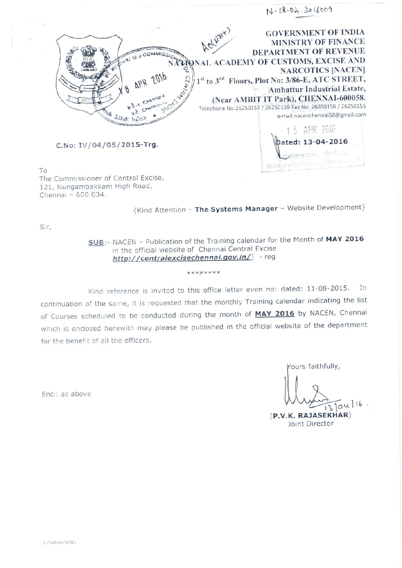

To The Commissioner of Central Excise, 121, Nungambakkam High Road, Chennai - 600 034.

{Kind Attention - The Systems Manager - Website Development}

Sir,

SUB:- NACEN - Publication of the Training calendar for the Month of MAY 2016 in the official website of Chennai Central Excise http://centralexcisechennai.gov.in/) - reg

Kind reference is invited to this office letter even no: dated: 11-08-2015. In continuation of the same, it is requested that the monthly Training calendar indicating the list of Courses scheduled to be conducted during the month of MAY 2016 by NACEN, Chennai which is enclosed herewith may please be published in the official website of the department for the benefit of all the officers.

\*\*\*\*\*\*\*\*

Yours faithfully,

 $3104116$ .

(P.V.K. RAJASEKHAR) Joint Director

Encl: as above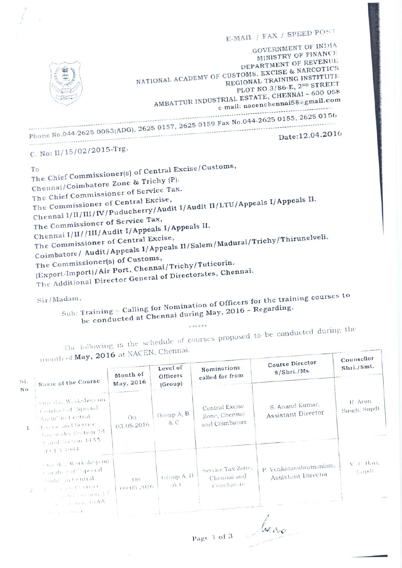**E-MAIL / FAX / SPEED POs't GOVERNMENT OF INDIA MINISTRY OF FINANCE. DEPARTMENT OF REVENUE**  NATIONAL ACADEMY OF CUSTOMS, EXCISE & NARCOTICS **REGIONAL TRAINING INSTITUTE PLOT NO.3/86-E,** *2ND* **STREET AMBATTUR INDUSTRIAL ESTATE, CHENNAI - 600 e-mail: nacenchenna158(4mail.com**  AMBATTUR INDUSTRIAL ESTATE, email: nacenchennai58@gmail.com  $\frac{1}{26}$   $\frac{8}{26}$   $\frac{1}{26}$   $\frac{8}{26}$   $\frac{1}{26}$   $\frac{1}{26}$   $\frac{1}{26}$   $\frac{1}{26}$   $\frac{1}{26}$   $\frac{1}{26}$   $\frac{1}{26}$   $\frac{1}{26}$   $\frac{1}{26}$   $\frac{1}{26}$   $\frac{1}{26}$   $\frac{1}{26}$   $\frac{1}{26}$   $\frac{1}{26}$   $\frac{1}{26}$   $\frac{1}{26}$  **Phone No.044-2625 0083(ADG), 2625 0157, 2625 0159 Fax No.044-2625 0155, 2625 0156 ------ -**   $N_{0.044-2625}$  0083(ADG), 2016<br>Date:12.04.2016 **C. No: II/ 15/02/2015-Trg.**  To<br>The Chief Commissioner(s) of Central  **Excise/Customs, ) Chennai/Coimbatore Zone & Trichy (P). The Chief Commissioner of Service Tax. The Commissioner of Central Exse, Chennai I/II/III/IV /Puducherry/Audit**  cise,<br>'Audit I/Audit II/LTU/Appeals I/Appeals II. **The Commissioner of Service Tax, Chennai I/II/ /III/Audit I/Appeals I/Appeals II. II/Salem/Madurai/Trichy/Thirunelveli.** 

**The Commissioner of Central Excise, dit/Appeals I/Appeals** 

**Coimbatore/ Au** 

**The Commissioner(s) of Customs, Chennai/Trichy/Tuticorin.** 

**(Export-Import)/ Air Port, The Additional Director General of Directorates, Chennai.** 

**Sir /Madam ,** 

**Sub: Training - Calling for Nomination of Officers Regarding. training** courses to be conducted at Chennai during May, 2016 - Regarding. ining – Calling for Nommation of equation of the **Requested at Chennai during May, 2016 – Requested at Chennai during May, 2016 – Requested at Chennai during May, 2016 – Requested at**  $\frac{1}{2}$ 

**4.• \*4:** 

The following is the schedule of courses proposed to be essentially the schedule of courses proposed to be essentially courses proposed to be conducted during the th of  $May, 2016$  at NACEN, Chennai.

|           | $_{111011111}$ of <b>may</b> , $2010$ as $\ldots$                                                                                                                                                                            |                       |                                 |                                                   | Course Director                              | Counsellor                             |  |
|-----------|------------------------------------------------------------------------------------------------------------------------------------------------------------------------------------------------------------------------------|-----------------------|---------------------------------|---------------------------------------------------|----------------------------------------------|----------------------------------------|--|
| SI.<br>NO | Name of the Course                                                                                                                                                                                                           | Month of<br>May, 2016 | Level of<br>Officers<br>(Group) | Nominations<br>called for from                    | S/Shri./Ms.                                  | Shri./Smt.<br>R. Arun.<br>Singh, Supdt |  |
|           | cancias Workshop on<br>Conduct of 'Special<br>Aridit' in Central<br>$\pm$ scrae and Service.<br>Tax under Section 14.<br>Numberton 14AA.                                                                                     | (11)<br>03.05.2016    | Group A, B<br>8: C              | Central Excise<br>Zone, Chennai<br>and Coimbatore | S. Anand Kumar,<br>Assistant Director        |                                        |  |
|           | $-4.0$ L/N 19644.<br>$\epsilon$ na da k $W$ arkshop on<br>conduct of "Special"<br>Saide ar Central<br>$\chi$ , and a transfer experience<br>$\alpha = \arctan \theta$ , and then $14$<br>$\omega_{\rm{max}}$ , and the DVAA. | (11)<br>09.05.2016    | Group A, B<br>79. C             | Service Tax Zone,<br>Chennai and<br>Coimbatore    | P. Venkatasubramaniam,<br>Assistant Director | $V$ 1. Han,<br>: apdi                  |  |
|           | $\mathbf{c} = 1$ , $\mathbf{c} = \mathbf{1}^T \times \mathbf{k}$ .                                                                                                                                                           |                       |                                 |                                                   |                                              |                                        |  |

Page 1 of 3

**--**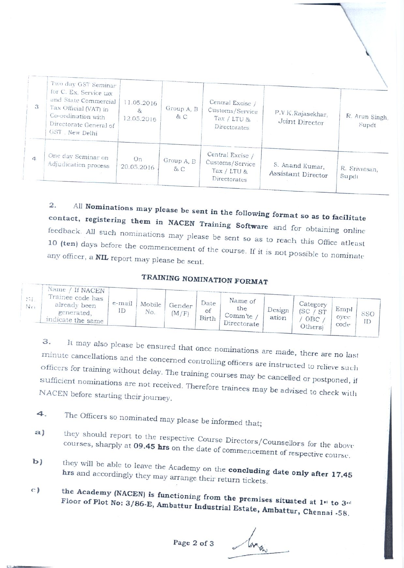| 3 | Two day GST Seminar<br>for C. Ex, Service tax<br>and State Commercial<br>Tax Official (VAT) in<br>Co-ordination with<br>Directorate General of<br>GST, New Delhi | 11.05.2016<br>8.<br>12.05.2016 | Group A, B<br>$\alpha$ C   | Central Excise /<br>Customs/Service<br>Tax / $LTU$ $\&$<br>Directorates | P.V.K.Rajasekhar,<br>Joint Director   | R. Arun Singh,<br>Supdt<br>R. Srivatsan,<br>Supdt |  |
|---|------------------------------------------------------------------------------------------------------------------------------------------------------------------|--------------------------------|----------------------------|-------------------------------------------------------------------------|---------------------------------------|---------------------------------------------------|--|
| 4 | One day Seminar on<br>Adjudication process                                                                                                                       | On<br>20.05.2016               | Group A, B<br>$85^\circ$ C | Central Excise /<br>Customs/Service<br>Tax / LTU $\&$<br>Directorates   | S. Anand Kumar,<br>Assistant Director |                                                   |  |

2. All **Nominations may please be sent in the following format so as to facility of** contact, registering them in NACEN Training Software and for obtaining online feedback. All such nominations may please be sent so as to reach this Office atleast any officer, a **NIL** report may please be sent.

## **TRAINING NOMINATION FORMAT**

| Trainee code has 1<br>Name of<br>Date<br>e-mail<br>Mobile<br>$\sim$ Category<br>Gender<br>already been<br>No<br>Empl<br>the<br>Design<br>D<br>No.<br>ST<br>Οİ<br>(M/F)<br>generated.<br>Comm'te<br>Birth<br>ation<br>oyee |     | Name / If NACEN   |  |  |  |     |           |  |
|---------------------------------------------------------------------------------------------------------------------------------------------------------------------------------------------------------------------------|-----|-------------------|--|--|--|-----|-----------|--|
| Directorate I<br>code<br>Others)                                                                                                                                                                                          | ST. | indicate the same |  |  |  | OBC | SSO<br>ID |  |

**3.**  It may also please be ensured that once nominations are made, there are no last minute cancellations and the concernies of the mominations are made, there are no last cancellations and the concerned controlling officers are instructed to relieve officers for training without delay. The training courses may be cancelled or postponed, sufficient nominations are not received. Therefore trainees may be advised to check with NACEN before starting their journey.

- 4. The Officers so nominated may please be informed that;
- a) they should report to the respective Course Directors/Counsellors for the above courses, sharply at **09.45 hrs** on the date of commanders for the above on the date of commencement of respective course.
- **b)** they will be able to leave the Academy on the **concluding date only after 17.45** hrs and accordingly they may arrange their return tickets.
- **c) the Academy (NACEN) is functioning from the premises situated at Floor of Plot No: to 3..' 3/86-E, Ambattur Industrial Estate, Arnbattur, Chennai -58.**

**Page2 of 3**